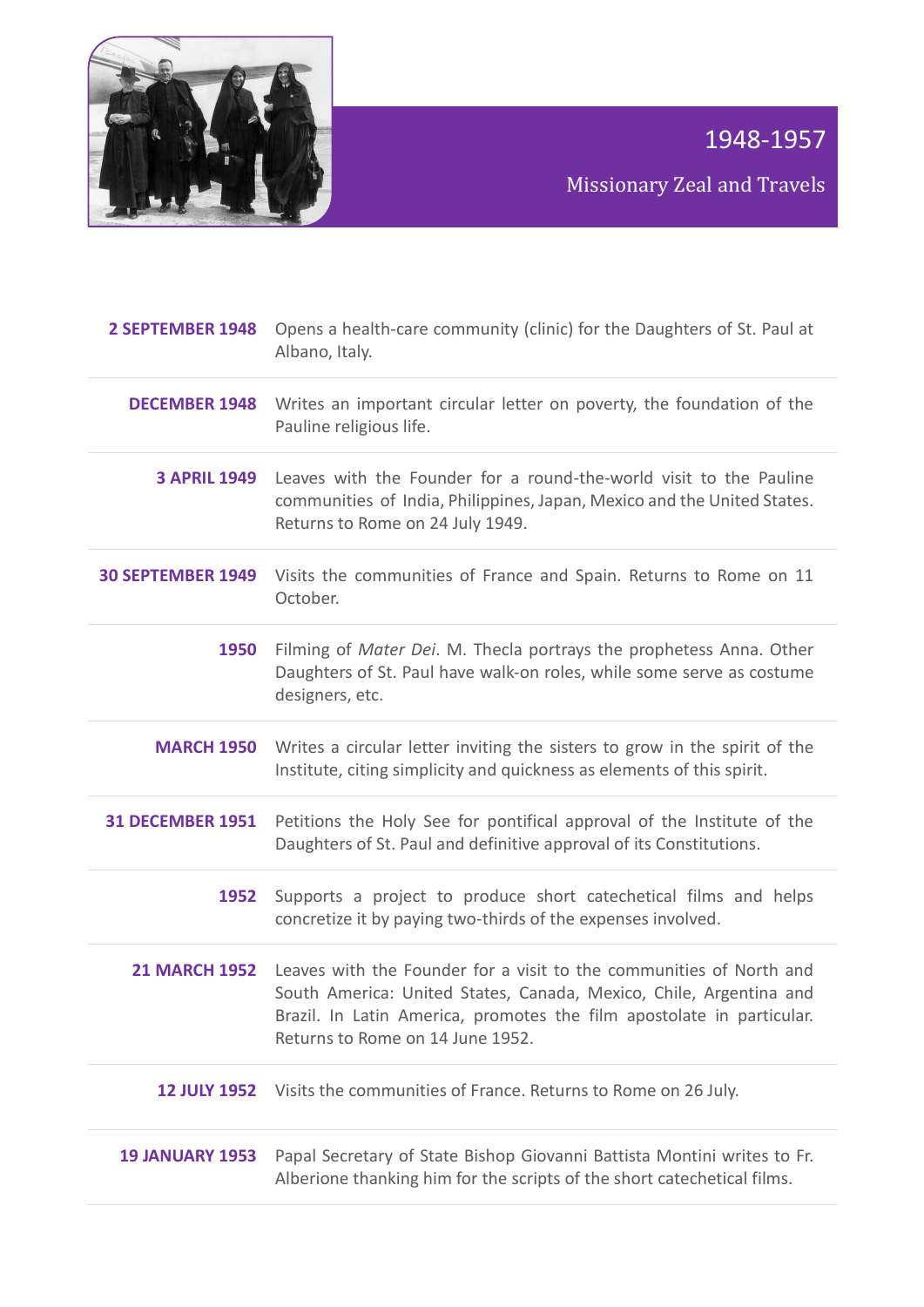

Missionary Zeal and Travels

| 2 SEPTEMBER 1948         | Opens a health-care community (clinic) for the Daughters of St. Paul at<br>Albano, Italy.                                                                                                                                                                            |
|--------------------------|----------------------------------------------------------------------------------------------------------------------------------------------------------------------------------------------------------------------------------------------------------------------|
| <b>DECEMBER 1948</b>     | Writes an important circular letter on poverty, the foundation of the<br>Pauline religious life.                                                                                                                                                                     |
| <b>3 APRIL 1949</b>      | Leaves with the Founder for a round-the-world visit to the Pauline<br>communities of India, Philippines, Japan, Mexico and the United States.<br>Returns to Rome on 24 July 1949.                                                                                    |
| <b>30 SEPTEMBER 1949</b> | Visits the communities of France and Spain. Returns to Rome on 11<br>October.                                                                                                                                                                                        |
| 1950                     | Filming of Mater Dei. M. Thecla portrays the prophetess Anna. Other<br>Daughters of St. Paul have walk-on roles, while some serve as costume<br>designers, etc.                                                                                                      |
| <b>MARCH 1950</b>        | Writes a circular letter inviting the sisters to grow in the spirit of the<br>Institute, citing simplicity and quickness as elements of this spirit.                                                                                                                 |
| <b>31 DECEMBER 1951</b>  | Petitions the Holy See for pontifical approval of the Institute of the<br>Daughters of St. Paul and definitive approval of its Constitutions.                                                                                                                        |
| 1952                     | Supports a project to produce short catechetical films and helps<br>concretize it by paying two-thirds of the expenses involved.                                                                                                                                     |
|                          | 21 MARCH 1952 Leaves with the Founder for a visit to the communities of North and<br>South America: United States, Canada, Mexico, Chile, Argentina and<br>Brazil. In Latin America, promotes the film apostolate in particular.<br>Returns to Rome on 14 June 1952. |
|                          | 12 JULY 1952 Visits the communities of France. Returns to Rome on 26 July.                                                                                                                                                                                           |
| <b>19 JANUARY 1953</b>   | Papal Secretary of State Bishop Giovanni Battista Montini writes to Fr.<br>Alberione thanking him for the scripts of the short catechetical films.                                                                                                                   |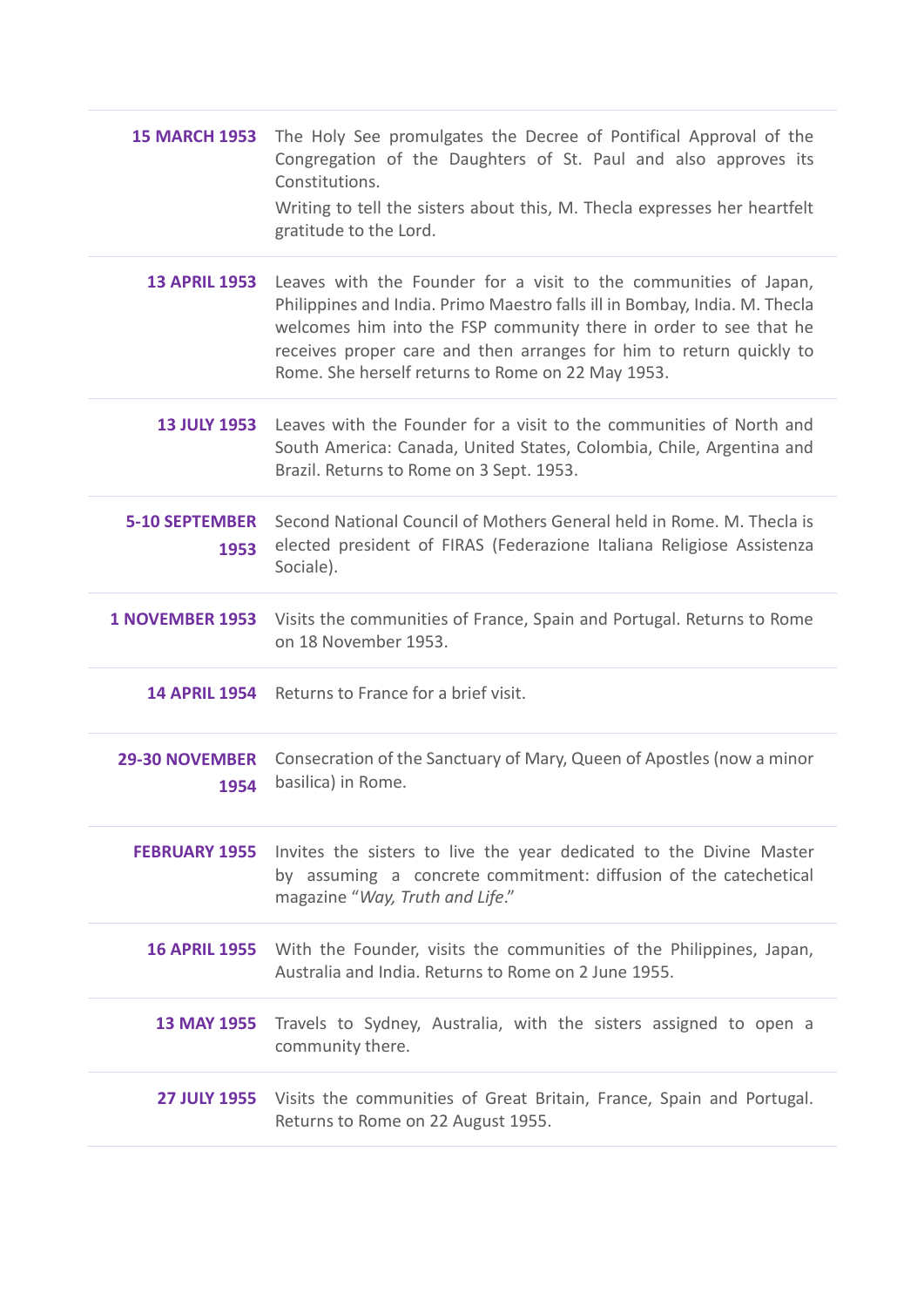| <b>15 MARCH 1953</b>          | The Holy See promulgates the Decree of Pontifical Approval of the<br>Congregation of the Daughters of St. Paul and also approves its<br>Constitutions.<br>Writing to tell the sisters about this, M. Thecla expresses her heartfelt<br>gratitude to the Lord.                                                                                   |
|-------------------------------|-------------------------------------------------------------------------------------------------------------------------------------------------------------------------------------------------------------------------------------------------------------------------------------------------------------------------------------------------|
| <b>13 APRIL 1953</b>          | Leaves with the Founder for a visit to the communities of Japan,<br>Philippines and India. Primo Maestro falls ill in Bombay, India. M. Thecla<br>welcomes him into the FSP community there in order to see that he<br>receives proper care and then arranges for him to return quickly to<br>Rome. She herself returns to Rome on 22 May 1953. |
| <b>13 JULY 1953</b>           | Leaves with the Founder for a visit to the communities of North and<br>South America: Canada, United States, Colombia, Chile, Argentina and<br>Brazil. Returns to Rome on 3 Sept. 1953.                                                                                                                                                         |
| <b>5-10 SEPTEMBER</b><br>1953 | Second National Council of Mothers General held in Rome. M. Thecla is<br>elected president of FIRAS (Federazione Italiana Religiose Assistenza<br>Sociale).                                                                                                                                                                                     |
| <b>1 NOVEMBER 1953</b>        | Visits the communities of France, Spain and Portugal. Returns to Rome<br>on 18 November 1953.                                                                                                                                                                                                                                                   |
| <b>14 APRIL 1954</b>          | Returns to France for a brief visit.                                                                                                                                                                                                                                                                                                            |
| <b>29-30 NOVEMBER</b><br>1954 | Consecration of the Sanctuary of Mary, Queen of Apostles (now a minor<br>basilica) in Rome.                                                                                                                                                                                                                                                     |
|                               | <b>FEBRUARY 1955</b> Invites the sisters to live the year dedicated to the Divine Master<br>by assuming a concrete commitment: diffusion of the catechetical<br>magazine "Way, Truth and Life."                                                                                                                                                 |
| <b>16 APRIL 1955</b>          | With the Founder, visits the communities of the Philippines, Japan,<br>Australia and India. Returns to Rome on 2 June 1955.                                                                                                                                                                                                                     |
| <b>13 MAY 1955</b>            | Travels to Sydney, Australia, with the sisters assigned to open a<br>community there.                                                                                                                                                                                                                                                           |
|                               | 27 JULY 1955 Visits the communities of Great Britain, France, Spain and Portugal.<br>Returns to Rome on 22 August 1955.                                                                                                                                                                                                                         |